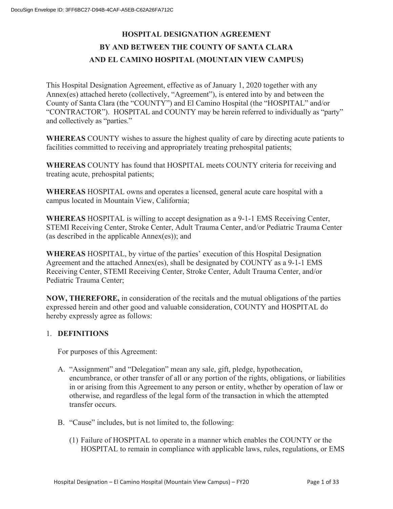# **HOSPITAL DESIGNATION AGREEMENT BY AND BETWEEN THE COUNTY OF SANTA CLARA AND EL CAMINO HOSPITAL (MOUNTAIN VIEW CAMPUS)**

This Hospital Designation Agreement, effective as of January 1, 2020 together with any Annex(es) attached hereto (collectively, "Agreement"), is entered into by and between the County of Santa Clara (the "COUNTY") and El Camino Hospital (the "HOSPITAL" and/or "CONTRACTOR"). HOSPITAL and COUNTY may be herein referred to individually as "party" and collectively as "parties."

**WHEREAS** COUNTY wishes to assure the highest quality of care by directing acute patients to facilities committed to receiving and appropriately treating prehospital patients;

**WHEREAS** COUNTY has found that HOSPITAL meets COUNTY criteria for receiving and treating acute, prehospital patients;

**WHEREAS** HOSPITAL owns and operates a licensed, general acute care hospital with a campus located in Mountain View, California;

**WHEREAS** HOSPITAL is willing to accept designation as a 9-1-1 EMS Receiving Center, STEMI Receiving Center, Stroke Center, Adult Trauma Center, and/or Pediatric Trauma Center (as described in the applicable Annex(es)); and

**WHEREAS** HOSPITAL, by virtue of the parties' execution of this Hospital Designation Agreement and the attached Annex(es), shall be designated by COUNTY as a 9-1-1 EMS Receiving Center, STEMI Receiving Center, Stroke Center, Adult Trauma Center, and/or Pediatric Trauma Center;

**NOW, THEREFORE,** in consideration of the recitals and the mutual obligations of the parties expressed herein and other good and valuable consideration, COUNTY and HOSPITAL do hereby expressly agree as follows:

## 1. **DEFINITIONS**

For purposes of this Agreement:

- A. "Assignment" and "Delegation" mean any sale, gift, pledge, hypothecation, encumbrance, or other transfer of all or any portion of the rights, obligations, or liabilities in or arising from this Agreement to any person or entity, whether by operation of law or otherwise, and regardless of the legal form of the transaction in which the attempted transfer occurs.
- B. "Cause" includes, but is not limited to, the following:
	- (1) Failure of HOSPITAL to operate in a manner which enables the COUNTY or the HOSPITAL to remain in compliance with applicable laws, rules, regulations, or EMS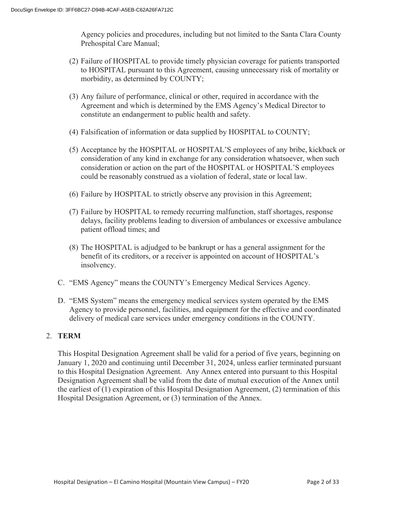Agency policies and procedures, including but not limited to the Santa Clara County Prehospital Care Manual;

- (2) Failure of HOSPITAL to provide timely physician coverage for patients transported to HOSPITAL pursuant to this Agreement, causing unnecessary risk of mortality or morbidity, as determined by COUNTY;
- (3) Any failure of performance, clinical or other, required in accordance with the Agreement and which is determined by the EMS Agency's Medical Director to constitute an endangerment to public health and safety.
- (4) Falsification of information or data supplied by HOSPITAL to COUNTY;
- (5) Acceptance by the HOSPITAL or HOSPITAL'S employees of any bribe, kickback or consideration of any kind in exchange for any consideration whatsoever, when such consideration or action on the part of the HOSPITAL or HOSPITAL'S employees could be reasonably construed as a violation of federal, state or local law.
- (6) Failure by HOSPITAL to strictly observe any provision in this Agreement;
- (7) Failure by HOSPITAL to remedy recurring malfunction, staff shortages, response delays, facility problems leading to diversion of ambulances or excessive ambulance patient offload times; and
- (8) The HOSPITAL is adjudged to be bankrupt or has a general assignment for the benefit of its creditors, or a receiver is appointed on account of HOSPITAL's insolvency.
- C. "EMS Agency" means the COUNTY's Emergency Medical Services Agency.
- D. "EMS System" means the emergency medical services system operated by the EMS Agency to provide personnel, facilities, and equipment for the effective and coordinated delivery of medical care services under emergency conditions in the COUNTY.

#### 2. **TERM**

This Hospital Designation Agreement shall be valid for a period of five years, beginning on January 1, 2020 and continuing until December 31, 2024, unless earlier terminated pursuant to this Hospital Designation Agreement. Any Annex entered into pursuant to this Hospital Designation Agreement shall be valid from the date of mutual execution of the Annex until the earliest of (1) expiration of this Hospital Designation Agreement, (2) termination of this Hospital Designation Agreement, or (3) termination of the Annex.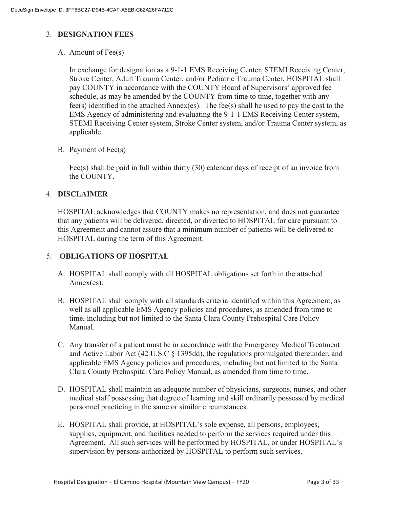## 3. **DESIGNATION FEES**

A. Amount of Fee(s)

In exchange for designation as a 9-1-1 EMS Receiving Center, STEMI Receiving Center, Stroke Center, Adult Trauma Center, and/or Pediatric Trauma Center, HOSPITAL shall pay COUNTY in accordance with the COUNTY Board of Supervisors' approved fee schedule, as may be amended by the COUNTY from time to time, together with any fee(s) identified in the attached Annex(es). The fee(s) shall be used to pay the cost to the EMS Agency of administering and evaluating the 9-1-1 EMS Receiving Center system, STEMI Receiving Center system, Stroke Center system, and/or Trauma Center system, as applicable.

B. Payment of Fee(s)

Fee(s) shall be paid in full within thirty (30) calendar days of receipt of an invoice from the COUNTY.

#### 4. **DISCLAIMER**

HOSPITAL acknowledges that COUNTY makes no representation, and does not guarantee that any patients will be delivered, directed, or diverted to HOSPITAL for care pursuant to this Agreement and cannot assure that a minimum number of patients will be delivered to HOSPITAL during the term of this Agreement.

## 5. **OBLIGATIONS OF HOSPITAL**

- A. HOSPITAL shall comply with all HOSPITAL obligations set forth in the attached Annex(es).
- B. HOSPITAL shall comply with all standards criteria identified within this Agreement, as well as all applicable EMS Agency policies and procedures, as amended from time to time, including but not limited to the Santa Clara County Prehospital Care Policy Manual.
- C. Any transfer of a patient must be in accordance with the Emergency Medical Treatment and Active Labor Act (42 U.S.C § 1395dd), the regulations promulgated thereunder, and applicable EMS Agency policies and procedures, including but not limited to the Santa Clara County Prehospital Care Policy Manual, as amended from time to time.
- D. HOSPITAL shall maintain an adequate number of physicians, surgeons, nurses, and other medical staff possessing that degree of learning and skill ordinarily possessed by medical personnel practicing in the same or similar circumstances.
- E. HOSPITAL shall provide, at HOSPITAL's sole expense, all persons, employees, supplies, equipment, and facilities needed to perform the services required under this Agreement. All such services will be performed by HOSPITAL, or under HOSPITAL's supervision by persons authorized by HOSPITAL to perform such services.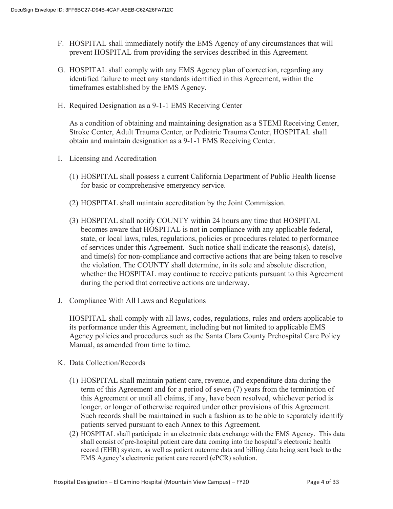- F. HOSPITAL shall immediately notify the EMS Agency of any circumstances that will prevent HOSPITAL from providing the services described in this Agreement.
- G. HOSPITAL shall comply with any EMS Agency plan of correction, regarding any identified failure to meet any standards identified in this Agreement, within the timeframes established by the EMS Agency.
- H. Required Designation as a 9-1-1 EMS Receiving Center

As a condition of obtaining and maintaining designation as a STEMI Receiving Center, Stroke Center, Adult Trauma Center, or Pediatric Trauma Center, HOSPITAL shall obtain and maintain designation as a 9-1-1 EMS Receiving Center.

- I. Licensing and Accreditation
	- (1) HOSPITAL shall possess a current California Department of Public Health license for basic or comprehensive emergency service.
	- (2) HOSPITAL shall maintain accreditation by the Joint Commission.
	- (3) HOSPITAL shall notify COUNTY within 24 hours any time that HOSPITAL becomes aware that HOSPITAL is not in compliance with any applicable federal, state, or local laws, rules, regulations, policies or procedures related to performance of services under this Agreement. Such notice shall indicate the reason(s), date(s), and time(s) for non-compliance and corrective actions that are being taken to resolve the violation. The COUNTY shall determine, in its sole and absolute discretion, whether the HOSPITAL may continue to receive patients pursuant to this Agreement during the period that corrective actions are underway.
- J. Compliance With All Laws and Regulations

HOSPITAL shall comply with all laws, codes, regulations, rules and orders applicable to its performance under this Agreement, including but not limited to applicable EMS Agency policies and procedures such as the Santa Clara County Prehospital Care Policy Manual, as amended from time to time.

- K. Data Collection/Records
	- (1) HOSPITAL shall maintain patient care, revenue, and expenditure data during the term of this Agreement and for a period of seven (7) years from the termination of this Agreement or until all claims, if any, have been resolved, whichever period is longer, or longer of otherwise required under other provisions of this Agreement. Such records shall be maintained in such a fashion as to be able to separately identify patients served pursuant to each Annex to this Agreement.
	- (2) HOSPITAL shall participate in an electronic data exchange with the EMS Agency. This data shall consist of pre-hospital patient care data coming into the hospital's electronic health record (EHR) system, as well as patient outcome data and billing data being sent back to the EMS Agency's electronic patient care record (ePCR) solution.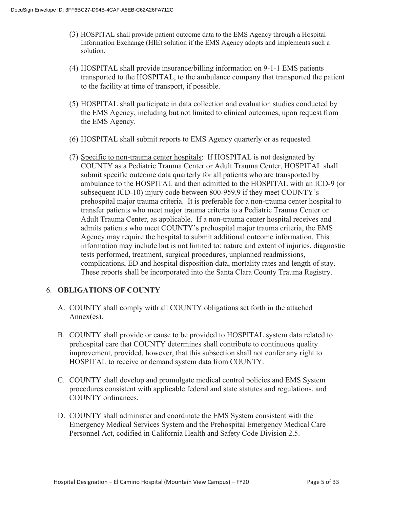- (3) HOSPITAL shall provide patient outcome data to the EMS Agency through a Hospital Information Exchange (HIE) solution if the EMS Agency adopts and implements such a solution.
- (4) HOSPITAL shall provide insurance/billing information on 9-1-1 EMS patients transported to the HOSPITAL, to the ambulance company that transported the patient to the facility at time of transport, if possible.
- (5) HOSPITAL shall participate in data collection and evaluation studies conducted by the EMS Agency, including but not limited to clinical outcomes, upon request from the EMS Agency.
- (6) HOSPITAL shall submit reports to EMS Agency quarterly or as requested.
- (7) Specific to non-trauma center hospitals: If HOSPITAL is not designated by COUNTY as a Pediatric Trauma Center or Adult Trauma Center, HOSPITAL shall submit specific outcome data quarterly for all patients who are transported by ambulance to the HOSPITAL and then admitted to the HOSPITAL with an ICD-9 (or subsequent ICD-10) injury code between 800-959.9 if they meet COUNTY's prehospital major trauma criteria. It is preferable for a non-trauma center hospital to transfer patients who meet major trauma criteria to a Pediatric Trauma Center or Adult Trauma Center, as applicable. If a non-trauma center hospital receives and admits patients who meet COUNTY's prehospital major trauma criteria, the EMS Agency may require the hospital to submit additional outcome information. This information may include but is not limited to: nature and extent of injuries, diagnostic tests performed, treatment, surgical procedures, unplanned readmissions, complications, ED and hospital disposition data, mortality rates and length of stay. These reports shall be incorporated into the Santa Clara County Trauma Registry.

## 6. **OBLIGATIONS OF COUNTY**

- A. COUNTY shall comply with all COUNTY obligations set forth in the attached Annex(es).
- B. COUNTY shall provide or cause to be provided to HOSPITAL system data related to prehospital care that COUNTY determines shall contribute to continuous quality improvement, provided, however, that this subsection shall not confer any right to HOSPITAL to receive or demand system data from COUNTY.
- C. COUNTY shall develop and promulgate medical control policies and EMS System procedures consistent with applicable federal and state statutes and regulations, and COUNTY ordinances.
- D. COUNTY shall administer and coordinate the EMS System consistent with the Emergency Medical Services System and the Prehospital Emergency Medical Care Personnel Act, codified in California Health and Safety Code Division 2.5.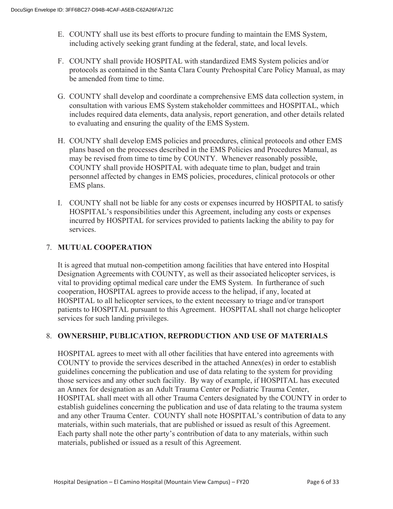- E. COUNTY shall use its best efforts to procure funding to maintain the EMS System, including actively seeking grant funding at the federal, state, and local levels.
- F. COUNTY shall provide HOSPITAL with standardized EMS System policies and/or protocols as contained in the Santa Clara County Prehospital Care Policy Manual, as may be amended from time to time.
- G. COUNTY shall develop and coordinate a comprehensive EMS data collection system, in consultation with various EMS System stakeholder committees and HOSPITAL, which includes required data elements, data analysis, report generation, and other details related to evaluating and ensuring the quality of the EMS System.
- H. COUNTY shall develop EMS policies and procedures, clinical protocols and other EMS plans based on the processes described in the EMS Policies and Procedures Manual, as may be revised from time to time by COUNTY. Whenever reasonably possible, COUNTY shall provide HOSPITAL with adequate time to plan, budget and train personnel affected by changes in EMS policies, procedures, clinical protocols or other EMS plans.
- I. COUNTY shall not be liable for any costs or expenses incurred by HOSPITAL to satisfy HOSPITAL's responsibilities under this Agreement, including any costs or expenses incurred by HOSPITAL for services provided to patients lacking the ability to pay for services.

## 7. **MUTUAL COOPERATION**

It is agreed that mutual non-competition among facilities that have entered into Hospital Designation Agreements with COUNTY, as well as their associated helicopter services, is vital to providing optimal medical care under the EMS System. In furtherance of such cooperation, HOSPITAL agrees to provide access to the helipad, if any, located at HOSPITAL to all helicopter services, to the extent necessary to triage and/or transport patients to HOSPITAL pursuant to this Agreement. HOSPITAL shall not charge helicopter services for such landing privileges.

## 8. **OWNERSHIP, PUBLICATION, REPRODUCTION AND USE OF MATERIALS**

HOSPITAL agrees to meet with all other facilities that have entered into agreements with COUNTY to provide the services described in the attached Annex(es) in order to establish guidelines concerning the publication and use of data relating to the system for providing those services and any other such facility. By way of example, if HOSPITAL has executed an Annex for designation as an Adult Trauma Center or Pediatric Trauma Center, HOSPITAL shall meet with all other Trauma Centers designated by the COUNTY in order to establish guidelines concerning the publication and use of data relating to the trauma system and any other Trauma Center. COUNTY shall note HOSPITAL's contribution of data to any materials, within such materials, that are published or issued as result of this Agreement. Each party shall note the other party's contribution of data to any materials, within such materials, published or issued as a result of this Agreement.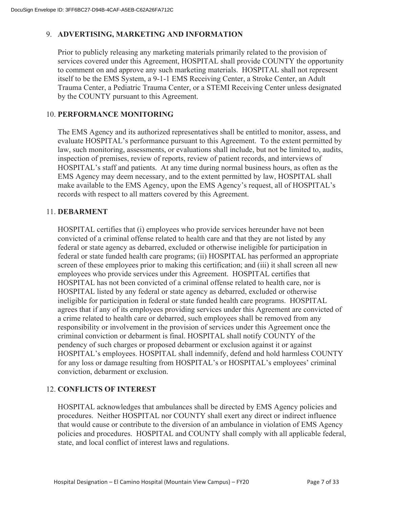## 9. **ADVERTISING, MARKETING AND INFORMATION**

Prior to publicly releasing any marketing materials primarily related to the provision of services covered under this Agreement, HOSPITAL shall provide COUNTY the opportunity to comment on and approve any such marketing materials. HOSPITAL shall not represent itself to be the EMS System, a 9-1-1 EMS Receiving Center, a Stroke Center, an Adult Trauma Center, a Pediatric Trauma Center, or a STEMI Receiving Center unless designated by the COUNTY pursuant to this Agreement.

## 10. **PERFORMANCE MONITORING**

The EMS Agency and its authorized representatives shall be entitled to monitor, assess, and evaluate HOSPITAL's performance pursuant to this Agreement. To the extent permitted by law, such monitoring, assessments, or evaluations shall include, but not be limited to, audits, inspection of premises, review of reports, review of patient records, and interviews of HOSPITAL's staff and patients. At any time during normal business hours, as often as the EMS Agency may deem necessary, and to the extent permitted by law, HOSPITAL shall make available to the EMS Agency, upon the EMS Agency's request, all of HOSPITAL's records with respect to all matters covered by this Agreement.

#### 11. **DEBARMENT**

HOSPITAL certifies that (i) employees who provide services hereunder have not been convicted of a criminal offense related to health care and that they are not listed by any federal or state agency as debarred, excluded or otherwise ineligible for participation in federal or state funded health care programs; (ii) HOSPITAL has performed an appropriate screen of these employees prior to making this certification; and (iii) it shall screen all new employees who provide services under this Agreement. HOSPITAL certifies that HOSPITAL has not been convicted of a criminal offense related to health care, nor is HOSPITAL listed by any federal or state agency as debarred, excluded or otherwise ineligible for participation in federal or state funded health care programs. HOSPITAL agrees that if any of its employees providing services under this Agreement are convicted of a crime related to health care or debarred, such employees shall be removed from any responsibility or involvement in the provision of services under this Agreement once the criminal conviction or debarment is final. HOSPITAL shall notify COUNTY of the pendency of such charges or proposed debarment or exclusion against it or against HOSPITAL's employees. HOSPITAL shall indemnify, defend and hold harmless COUNTY for any loss or damage resulting from HOSPITAL's or HOSPITAL's employees' criminal conviction, debarment or exclusion.

#### 12. **CONFLICTS OF INTEREST**

HOSPITAL acknowledges that ambulances shall be directed by EMS Agency policies and procedures. Neither HOSPITAL nor COUNTY shall exert any direct or indirect influence that would cause or contribute to the diversion of an ambulance in violation of EMS Agency policies and procedures. HOSPITAL and COUNTY shall comply with all applicable federal, state, and local conflict of interest laws and regulations.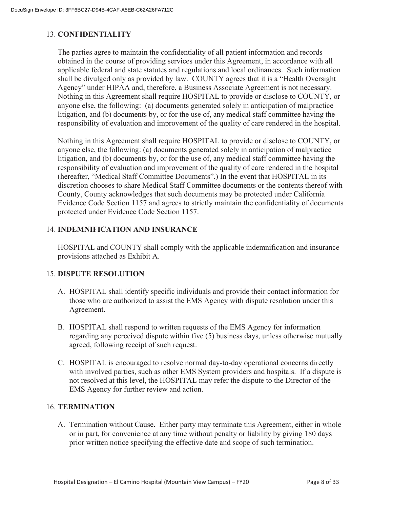#### 13. **CONFIDENTIALITY**

The parties agree to maintain the confidentiality of all patient information and records obtained in the course of providing services under this Agreement, in accordance with all applicable federal and state statutes and regulations and local ordinances. Such information shall be divulged only as provided by law. COUNTY agrees that it is a "Health Oversight Agency" under HIPAA and, therefore, a Business Associate Agreement is not necessary. Nothing in this Agreement shall require HOSPITAL to provide or disclose to COUNTY, or anyone else, the following: (a) documents generated solely in anticipation of malpractice litigation, and (b) documents by, or for the use of, any medical staff committee having the responsibility of evaluation and improvement of the quality of care rendered in the hospital.

Nothing in this Agreement shall require HOSPITAL to provide or disclose to COUNTY, or anyone else, the following: (a) documents generated solely in anticipation of malpractice litigation, and (b) documents by, or for the use of, any medical staff committee having the responsibility of evaluation and improvement of the quality of care rendered in the hospital (hereafter, "Medical Staff Committee Documents".) In the event that HOSPITAL in its discretion chooses to share Medical Staff Committee documents or the contents thereof with County, County acknowledges that such documents may be protected under California Evidence Code Section 1157 and agrees to strictly maintain the confidentiality of documents protected under Evidence Code Section 1157.

### 14. **INDEMNIFICATION AND INSURANCE**

HOSPITAL and COUNTY shall comply with the applicable indemnification and insurance provisions attached as Exhibit A.

#### 15. **DISPUTE RESOLUTION**

- A. HOSPITAL shall identify specific individuals and provide their contact information for those who are authorized to assist the EMS Agency with dispute resolution under this Agreement.
- B. HOSPITAL shall respond to written requests of the EMS Agency for information regarding any perceived dispute within five (5) business days, unless otherwise mutually agreed, following receipt of such request.
- C. HOSPITAL is encouraged to resolve normal day-to-day operational concerns directly with involved parties, such as other EMS System providers and hospitals. If a dispute is not resolved at this level, the HOSPITAL may refer the dispute to the Director of the EMS Agency for further review and action.

#### 16. **TERMINATION**

A. Termination without Cause. Either party may terminate this Agreement, either in whole or in part, for convenience at any time without penalty or liability by giving 180 days prior written notice specifying the effective date and scope of such termination.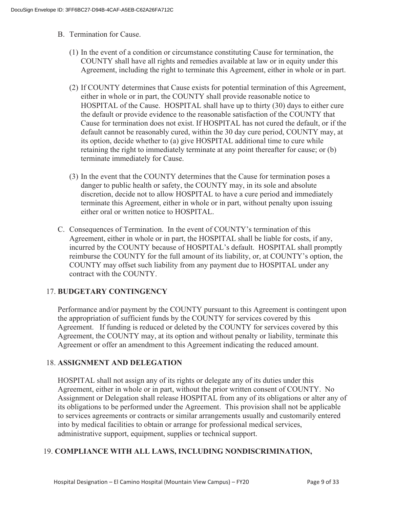- B. Termination for Cause.
	- (1) In the event of a condition or circumstance constituting Cause for termination, the COUNTY shall have all rights and remedies available at law or in equity under this Agreement, including the right to terminate this Agreement, either in whole or in part.
	- (2) If COUNTY determines that Cause exists for potential termination of this Agreement, either in whole or in part, the COUNTY shall provide reasonable notice to HOSPITAL of the Cause. HOSPITAL shall have up to thirty (30) days to either cure the default or provide evidence to the reasonable satisfaction of the COUNTY that Cause for termination does not exist. If HOSPITAL has not cured the default, or if the default cannot be reasonably cured, within the 30 day cure period, COUNTY may, at its option, decide whether to (a) give HOSPITAL additional time to cure while retaining the right to immediately terminate at any point thereafter for cause; or (b) terminate immediately for Cause.
	- (3) In the event that the COUNTY determines that the Cause for termination poses a danger to public health or safety, the COUNTY may, in its sole and absolute discretion, decide not to allow HOSPITAL to have a cure period and immediately terminate this Agreement, either in whole or in part, without penalty upon issuing either oral or written notice to HOSPITAL.
- C. Consequences of Termination. In the event of COUNTY's termination of this Agreement, either in whole or in part, the HOSPITAL shall be liable for costs, if any, incurred by the COUNTY because of HOSPITAL's default. HOSPITAL shall promptly reimburse the COUNTY for the full amount of its liability, or, at COUNTY's option, the COUNTY may offset such liability from any payment due to HOSPITAL under any contract with the COUNTY.

## 17. **BUDGETARY CONTINGENCY**

Performance and/or payment by the COUNTY pursuant to this Agreement is contingent upon the appropriation of sufficient funds by the COUNTY for services covered by this Agreement. If funding is reduced or deleted by the COUNTY for services covered by this Agreement, the COUNTY may, at its option and without penalty or liability, terminate this Agreement or offer an amendment to this Agreement indicating the reduced amount.

#### 18. **ASSIGNMENT AND DELEGATION**

HOSPITAL shall not assign any of its rights or delegate any of its duties under this Agreement, either in whole or in part, without the prior written consent of COUNTY. No Assignment or Delegation shall release HOSPITAL from any of its obligations or alter any of its obligations to be performed under the Agreement. This provision shall not be applicable to services agreements or contracts or similar arrangements usually and customarily entered into by medical facilities to obtain or arrange for professional medical services, administrative support, equipment, supplies or technical support.

#### 19. **COMPLIANCE WITH ALL LAWS, INCLUDING NONDISCRIMINATION,**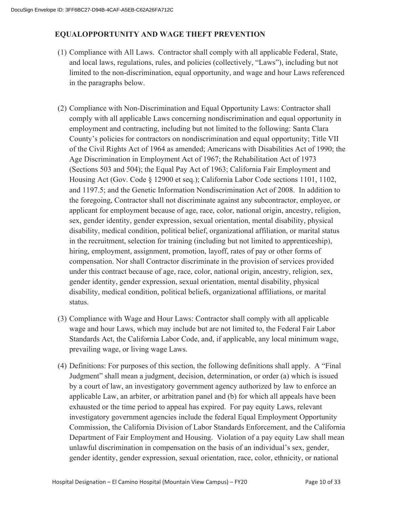## **EQUALOPPORTUNITY AND WAGE THEFT PREVENTION**

- (1) Compliance with All Laws. Contractor shall comply with all applicable Federal, State, and local laws, regulations, rules, and policies (collectively, "Laws"), including but not limited to the non-discrimination, equal opportunity, and wage and hour Laws referenced in the paragraphs below.
- (2) Compliance with Non-Discrimination and Equal Opportunity Laws: Contractor shall comply with all applicable Laws concerning nondiscrimination and equal opportunity in employment and contracting, including but not limited to the following: Santa Clara County's policies for contractors on nondiscrimination and equal opportunity; Title VII of the Civil Rights Act of 1964 as amended; Americans with Disabilities Act of 1990; the Age Discrimination in Employment Act of 1967; the Rehabilitation Act of 1973 (Sections 503 and 504); the Equal Pay Act of 1963; California Fair Employment and Housing Act (Gov. Code § 12900 et seq.); California Labor Code sections 1101, 1102, and 1197.5; and the Genetic Information Nondiscrimination Act of 2008. In addition to the foregoing, Contractor shall not discriminate against any subcontractor, employee, or applicant for employment because of age, race, color, national origin, ancestry, religion, sex, gender identity, gender expression, sexual orientation, mental disability, physical disability, medical condition, political belief, organizational affiliation, or marital status in the recruitment, selection for training (including but not limited to apprenticeship), hiring, employment, assignment, promotion, layoff, rates of pay or other forms of compensation. Nor shall Contractor discriminate in the provision of services provided under this contract because of age, race, color, national origin, ancestry, religion, sex, gender identity, gender expression, sexual orientation, mental disability, physical disability, medical condition, political beliefs, organizational affiliations, or marital status.
- (3) Compliance with Wage and Hour Laws: Contractor shall comply with all applicable wage and hour Laws, which may include but are not limited to, the Federal Fair Labor Standards Act, the California Labor Code, and, if applicable, any local minimum wage, prevailing wage, or living wage Laws.
- (4) Definitions: For purposes of this section, the following definitions shall apply. A "Final Judgment" shall mean a judgment, decision, determination, or order (a) which is issued by a court of law, an investigatory government agency authorized by law to enforce an applicable Law, an arbiter, or arbitration panel and (b) for which all appeals have been exhausted or the time period to appeal has expired. For pay equity Laws, relevant investigatory government agencies include the federal Equal Employment Opportunity Commission, the California Division of Labor Standards Enforcement, and the California Department of Fair Employment and Housing. Violation of a pay equity Law shall mean unlawful discrimination in compensation on the basis of an individual's sex, gender, gender identity, gender expression, sexual orientation, race, color, ethnicity, or national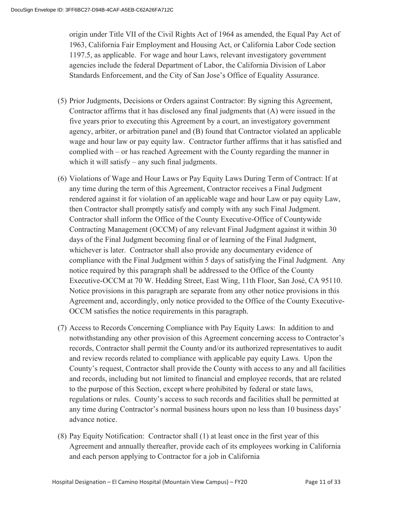origin under Title VII of the Civil Rights Act of 1964 as amended, the Equal Pay Act of 1963, California Fair Employment and Housing Act, or California Labor Code section 1197.5, as applicable. For wage and hour Laws, relevant investigatory government agencies include the federal Department of Labor, the California Division of Labor Standards Enforcement, and the City of San Jose's Office of Equality Assurance.

- (5) Prior Judgments, Decisions or Orders against Contractor: By signing this Agreement, Contractor affirms that it has disclosed any final judgments that (A) were issued in the five years prior to executing this Agreement by a court, an investigatory government agency, arbiter, or arbitration panel and (B) found that Contractor violated an applicable wage and hour law or pay equity law. Contractor further affirms that it has satisfied and complied with – or has reached Agreement with the County regarding the manner in which it will satisfy – any such final judgments.
- (6) Violations of Wage and Hour Laws or Pay Equity Laws During Term of Contract: If at any time during the term of this Agreement, Contractor receives a Final Judgment rendered against it for violation of an applicable wage and hour Law or pay equity Law, then Contractor shall promptly satisfy and comply with any such Final Judgment. Contractor shall inform the Office of the County Executive-Office of Countywide Contracting Management (OCCM) of any relevant Final Judgment against it within 30 days of the Final Judgment becoming final or of learning of the Final Judgment, whichever is later. Contractor shall also provide any documentary evidence of compliance with the Final Judgment within 5 days of satisfying the Final Judgment. Any notice required by this paragraph shall be addressed to the Office of the County Executive-OCCM at 70 W. Hedding Street, East Wing, 11th Floor, San José, CA 95110. Notice provisions in this paragraph are separate from any other notice provisions in this Agreement and, accordingly, only notice provided to the Office of the County Executive-OCCM satisfies the notice requirements in this paragraph.
- (7) Access to Records Concerning Compliance with Pay Equity Laws: In addition to and notwithstanding any other provision of this Agreement concerning access to Contractor's records, Contractor shall permit the County and/or its authorized representatives to audit and review records related to compliance with applicable pay equity Laws. Upon the County's request, Contractor shall provide the County with access to any and all facilities and records, including but not limited to financial and employee records, that are related to the purpose of this Section, except where prohibited by federal or state laws, regulations or rules. County's access to such records and facilities shall be permitted at any time during Contractor's normal business hours upon no less than 10 business days' advance notice.
- (8) Pay Equity Notification: Contractor shall (1) at least once in the first year of this Agreement and annually thereafter, provide each of its employees working in California and each person applying to Contractor for a job in California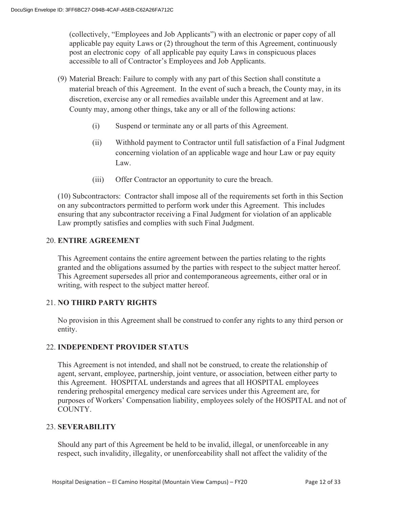(collectively, "Employees and Job Applicants") with an electronic or paper copy of all applicable pay equity Laws or (2) throughout the term of this Agreement, continuously post an electronic copy of all applicable pay equity Laws in conspicuous places accessible to all of Contractor's Employees and Job Applicants.

- (9) Material Breach: Failure to comply with any part of this Section shall constitute a material breach of this Agreement. In the event of such a breach, the County may, in its discretion, exercise any or all remedies available under this Agreement and at law. County may, among other things, take any or all of the following actions:
	- (i) Suspend or terminate any or all parts of this Agreement.
	- (ii) Withhold payment to Contractor until full satisfaction of a Final Judgment concerning violation of an applicable wage and hour Law or pay equity Law.
	- (iii) Offer Contractor an opportunity to cure the breach.

(10) Subcontractors: Contractor shall impose all of the requirements set forth in this Section on any subcontractors permitted to perform work under this Agreement. This includes ensuring that any subcontractor receiving a Final Judgment for violation of an applicable Law promptly satisfies and complies with such Final Judgment.

## 20. **ENTIRE AGREEMENT**

 This Agreement contains the entire agreement between the parties relating to the rights granted and the obligations assumed by the parties with respect to the subject matter hereof. This Agreement supersedes all prior and contemporaneous agreements, either oral or in writing, with respect to the subject matter hereof.

## 21. **NO THIRD PARTY RIGHTS**

No provision in this Agreement shall be construed to confer any rights to any third person or entity.

## 22. **INDEPENDENT PROVIDER STATUS**

This Agreement is not intended, and shall not be construed, to create the relationship of agent, servant, employee, partnership, joint venture, or association, between either party to this Agreement. HOSPITAL understands and agrees that all HOSPITAL employees rendering prehospital emergency medical care services under this Agreement are, for purposes of Workers' Compensation liability, employees solely of the HOSPITAL and not of COUNTY.

## 23. **SEVERABILITY**

Should any part of this Agreement be held to be invalid, illegal, or unenforceable in any respect, such invalidity, illegality, or unenforceability shall not affect the validity of the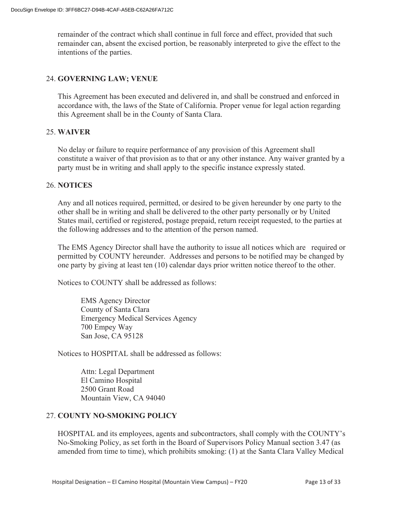remainder of the contract which shall continue in full force and effect, provided that such remainder can, absent the excised portion, be reasonably interpreted to give the effect to the intentions of the parties.

#### 24. **GOVERNING LAW; VENUE**

This Agreement has been executed and delivered in, and shall be construed and enforced in accordance with, the laws of the State of California. Proper venue for legal action regarding this Agreement shall be in the County of Santa Clara.

#### 25. **WAIVER**

No delay or failure to require performance of any provision of this Agreement shall constitute a waiver of that provision as to that or any other instance. Any waiver granted by a party must be in writing and shall apply to the specific instance expressly stated.

#### 26. **NOTICES**

Any and all notices required, permitted, or desired to be given hereunder by one party to the other shall be in writing and shall be delivered to the other party personally or by United States mail, certified or registered, postage prepaid, return receipt requested, to the parties at the following addresses and to the attention of the person named.

The EMS Agency Director shall have the authority to issue all notices which are required or permitted by COUNTY hereunder. Addresses and persons to be notified may be changed by one party by giving at least ten (10) calendar days prior written notice thereof to the other.

Notices to COUNTY shall be addressed as follows:

EMS Agency Director County of Santa Clara Emergency Medical Services Agency 700 Empey Way San Jose, CA 95128

Notices to HOSPITAL shall be addressed as follows:

Attn: Legal Department El Camino Hospital 2500 Grant Road Mountain View, CA 94040

#### 27. **COUNTY NO-SMOKING POLICY**

HOSPITAL and its employees, agents and subcontractors, shall comply with the COUNTY's No-Smoking Policy, as set forth in the Board of Supervisors Policy Manual section 3.47 (as amended from time to time), which prohibits smoking: (1) at the Santa Clara Valley Medical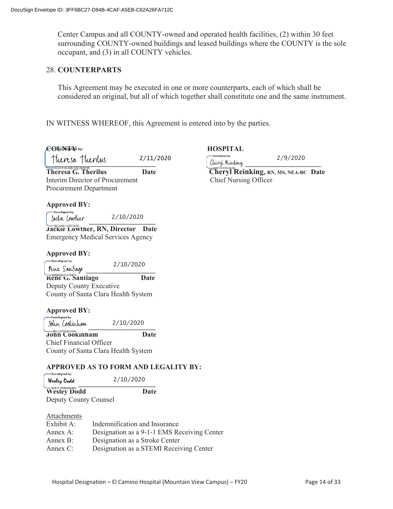Center Campus and all COUNTY-owned and operated health facilities, (2) within 30 feet surrounding COUNTY-owned buildings and leased buildings where the COUNTY is the sole occupant, and (3) in all COUNTY vehicles.

#### 28. **COUNTERPARTS**

This Agreement may be executed in one or more counterparts, each of which shall be considered an original, but all of which together shall constitute one and the same instrument.

IN WITNESS WHEREOF, this Agreement is entered into by the parties.

| CObellsigned by:                                                                                  |                                             | <b>HOSPITAL</b>              |                                      |
|---------------------------------------------------------------------------------------------------|---------------------------------------------|------------------------------|--------------------------------------|
|                                                                                                   | 2/11/2020                                   |                              | 2/9/2020                             |
| Theresa Theorius                                                                                  |                                             | Cheryl Reinking              |                                      |
| <b>Theresa G. Therilus</b>                                                                        | <b>Date</b>                                 |                              | Cheryl Reinking, RN, MS, NEA-BC Date |
| Interim Director of Procurement                                                                   |                                             | <b>Chief Nursing Officer</b> |                                      |
| <b>Procurement Department</b>                                                                     |                                             |                              |                                      |
| <b>Approved BY:</b>                                                                               |                                             |                              |                                      |
| -DocuSigned by:<br>Jackie Lowther                                                                 | 2/10/2020                                   |                              |                                      |
| 3B1CAB11C65147B.<br>Jackie Lowther, RN, Director Date<br><b>Emergency Medical Services Agency</b> |                                             |                              |                                      |
| <b>Approved BY:</b><br>-DocuSigned by:                                                            |                                             |                              |                                      |
| Rene Santiago                                                                                     | 2/10/2020                                   |                              |                                      |
| Kene G. Santiago                                                                                  | <b>Date</b>                                 |                              |                                      |
| Deputy County Executive                                                                           |                                             |                              |                                      |
| County of Santa Clara Health System                                                               |                                             |                              |                                      |
| <b>Approved BY:</b><br>-DocuSigned by:                                                            |                                             |                              |                                      |
| Jolur Cookiriliam                                                                                 | 2/10/2020                                   |                              |                                      |
| -C86CC078205C43A<br>John Cookinham.                                                               | Date                                        |                              |                                      |
| Chief Financial Officer                                                                           |                                             |                              |                                      |
| County of Santa Clara Health System                                                               |                                             |                              |                                      |
| -DocuSigned by:                                                                                   | APPROVED AS TO FORM AND LEGALITY BY:        |                              |                                      |
| Wesley Dodd                                                                                       | 2/10/2020                                   |                              |                                      |
| Wesley Dodd Wesley                                                                                | <b>Date</b>                                 |                              |                                      |
| Deputy County Counsel                                                                             |                                             |                              |                                      |
| <b>Attachments</b>                                                                                |                                             |                              |                                      |
| Exhibit A:                                                                                        | Indemnification and Insurance               |                              |                                      |
| Annex A:                                                                                          | Designation as a 9-1-1 EMS Receiving Center |                              |                                      |

Annex B: Designation as a Stroke Center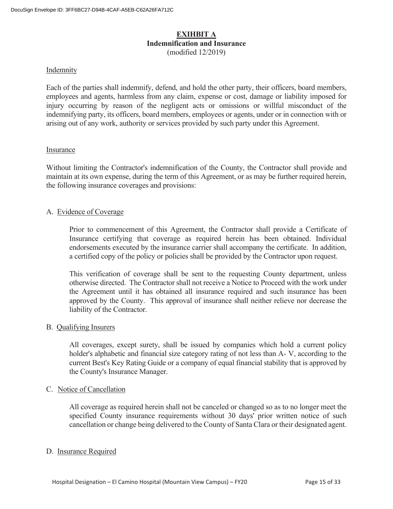#### **EXIHBIT A Indemnification and Insurance**  (modified 12/2019)

#### Indemnity

Each of the parties shall indemnify, defend, and hold the other party, their officers, board members, employees and agents, harmless from any claim, expense or cost, damage or liability imposed for injury occurring by reason of the negligent acts or omissions or willful misconduct of the indemnifying party, its officers, board members, employees or agents, under or in connection with or arising out of any work, authority or services provided by such party under this Agreement.

#### Insurance

Without limiting the Contractor's indemnification of the County, the Contractor shall provide and maintain at its own expense, during the term of this Agreement, or as may be further required herein, the following insurance coverages and provisions:

#### A. Evidence of Coverage

 Prior to commencement of this Agreement, the Contractor shall provide a Certificate of Insurance certifying that coverage as required herein has been obtained. Individual endorsements executed by the insurance carrier shall accompany the certificate. In addition, a certified copy of the policy or policies shall be provided by the Contractor upon request.

 This verification of coverage shall be sent to the requesting County department, unless otherwise directed. The Contractor shall not receive a Notice to Proceed with the work under the Agreement until it has obtained all insurance required and such insurance has been approved by the County. This approval of insurance shall neither relieve nor decrease the liability of the Contractor.

#### B. Qualifying Insurers

 All coverages, except surety, shall be issued by companies which hold a current policy holder's alphabetic and financial size category rating of not less than A- V, according to the current Best's Key Rating Guide or a company of equal financial stability that is approved by the County's Insurance Manager.

#### C. Notice of Cancellation

All coverage as required herein shall not be canceled or changed so as to no longer meet the specified County insurance requirements without 30 days' prior written notice of such cancellation or change being delivered to the County of Santa Clara or their designated agent.

#### D. Insurance Required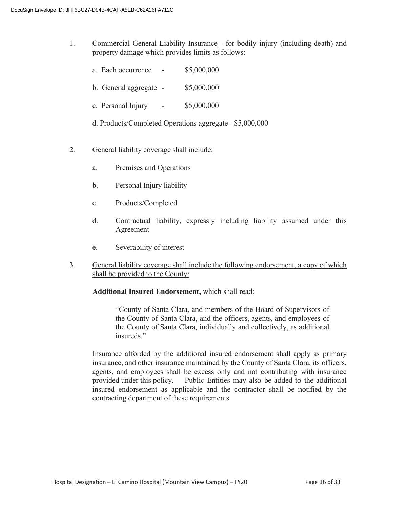- 1. Commercial General Liability Insurance for bodily injury (including death) and property damage which provides limits as follows:
	- a. Each occurrence \$5,000,000
	- b. General aggregate \$5,000,000
	- c. Personal Injury \$5,000,000
	- d. Products/Completed Operations aggregate \$5,000,000
- 2. General liability coverage shall include:
	- a. Premises and Operations
	- b. Personal Injury liability
	- c. Products/Completed
	- d. Contractual liability, expressly including liability assumed under this Agreement
	- e. Severability of interest
- 3. General liability coverage shall include the following endorsement, a copy of which shall be provided to the County:

#### **Additional Insured Endorsement,** which shall read:

 "County of Santa Clara, and members of the Board of Supervisors of the County of Santa Clara, and the officers, agents, and employees of the County of Santa Clara, individually and collectively, as additional insureds."

 Insurance afforded by the additional insured endorsement shall apply as primary insurance, and other insurance maintained by the County of Santa Clara, its officers, agents, and employees shall be excess only and not contributing with insurance provided under this policy. Public Entities may also be added to the additional insured endorsement as applicable and the contractor shall be notified by the contracting department of these requirements.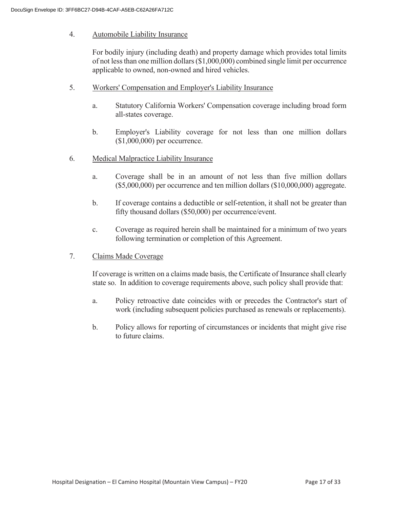#### 4. Automobile Liability Insurance

 For bodily injury (including death) and property damage which provides total limits of not less than one million dollars (\$1,000,000) combined single limit per occurrence applicable to owned, non-owned and hired vehicles.

- 5. Workers' Compensation and Employer's Liability Insurance
	- a. Statutory California Workers' Compensation coverage including broad form all-states coverage.
	- b. Employer's Liability coverage for not less than one million dollars (\$1,000,000) per occurrence.
- 6. Medical Malpractice Liability Insurance
	- a. Coverage shall be in an amount of not less than five million dollars (\$5,000,000) per occurrence and ten million dollars (\$10,000,000) aggregate.
	- b. If coverage contains a deductible or self-retention, it shall not be greater than fifty thousand dollars (\$50,000) per occurrence/event.
	- c. Coverage as required herein shall be maintained for a minimum of two years following termination or completion of this Agreement.
- 7. Claims Made Coverage

 If coverage is written on a claims made basis, the Certificate of Insurance shall clearly state so. In addition to coverage requirements above, such policy shall provide that:

- a. Policy retroactive date coincides with or precedes the Contractor's start of work (including subsequent policies purchased as renewals or replacements).
- b. Policy allows for reporting of circumstances or incidents that might give rise to future claims.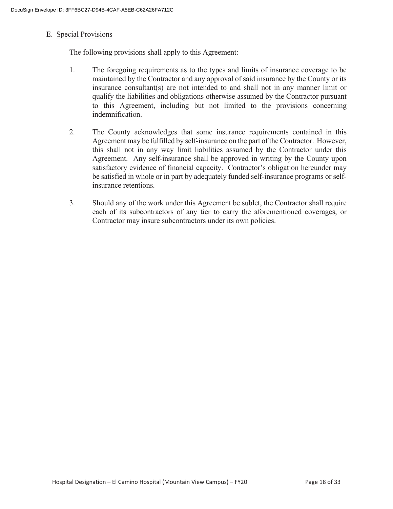#### E. Special Provisions

The following provisions shall apply to this Agreement:

- 1. The foregoing requirements as to the types and limits of insurance coverage to be maintained by the Contractor and any approval of said insurance by the County or its insurance consultant(s) are not intended to and shall not in any manner limit or qualify the liabilities and obligations otherwise assumed by the Contractor pursuant to this Agreement, including but not limited to the provisions concerning indemnification.
- 2. The County acknowledges that some insurance requirements contained in this Agreement may be fulfilled by self-insurance on the part of the Contractor. However, this shall not in any way limit liabilities assumed by the Contractor under this Agreement. Any self-insurance shall be approved in writing by the County upon satisfactory evidence of financial capacity. Contractor's obligation hereunder may be satisfied in whole or in part by adequately funded self-insurance programs or selfinsurance retentions.
- 3. Should any of the work under this Agreement be sublet, the Contractor shall require each of its subcontractors of any tier to carry the aforementioned coverages, or Contractor may insure subcontractors under its own policies.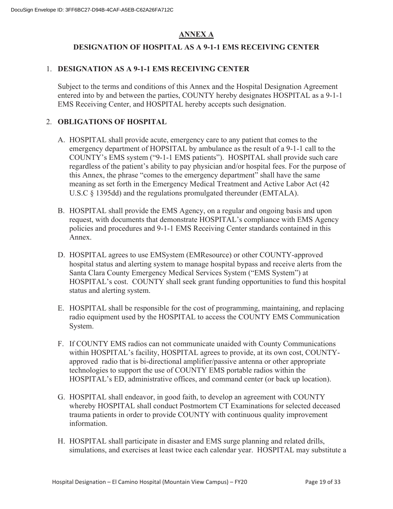## **ANNEX A**

## **DESIGNATION OF HOSPITAL AS A 9-1-1 EMS RECEIVING CENTER**

### 1. **DESIGNATION AS A 9-1-1 EMS RECEIVING CENTER**

Subject to the terms and conditions of this Annex and the Hospital Designation Agreement entered into by and between the parties, COUNTY hereby designates HOSPITAL as a 9-1-1 EMS Receiving Center, and HOSPITAL hereby accepts such designation.

### 2. **OBLIGATIONS OF HOSPITAL**

- A. HOSPITAL shall provide acute, emergency care to any patient that comes to the emergency department of HOPSITAL by ambulance as the result of a 9-1-1 call to the COUNTY's EMS system ("9-1-1 EMS patients"). HOSPITAL shall provide such care regardless of the patient's ability to pay physician and/or hospital fees. For the purpose of this Annex, the phrase "comes to the emergency department" shall have the same meaning as set forth in the Emergency Medical Treatment and Active Labor Act (42 U.S.C § 1395dd) and the regulations promulgated thereunder (EMTALA).
- B. HOSPITAL shall provide the EMS Agency, on a regular and ongoing basis and upon request, with documents that demonstrate HOSPITAL's compliance with EMS Agency policies and procedures and 9-1-1 EMS Receiving Center standards contained in this Annex.
- D. HOSPITAL agrees to use EMSystem (EMResource) or other COUNTY-approved hospital status and alerting system to manage hospital bypass and receive alerts from the Santa Clara County Emergency Medical Services System ("EMS System") at HOSPITAL's cost. COUNTY shall seek grant funding opportunities to fund this hospital status and alerting system.
- E. HOSPITAL shall be responsible for the cost of programming, maintaining, and replacing radio equipment used by the HOSPITAL to access the COUNTY EMS Communication System.
- F. If COUNTY EMS radios can not communicate unaided with County Communications within HOSPITAL's facility, HOSPITAL agrees to provide, at its own cost, COUNTYapproved radio that is bi-directional amplifier/passive antenna or other appropriate technologies to support the use of COUNTY EMS portable radios within the HOSPITAL's ED, administrative offices, and command center (or back up location).
- G. HOSPITAL shall endeavor, in good faith, to develop an agreement with COUNTY whereby HOSPITAL shall conduct Postmortem CT Examinations for selected deceased trauma patients in order to provide COUNTY with continuous quality improvement information.
- H. HOSPITAL shall participate in disaster and EMS surge planning and related drills, simulations, and exercises at least twice each calendar year. HOSPITAL may substitute a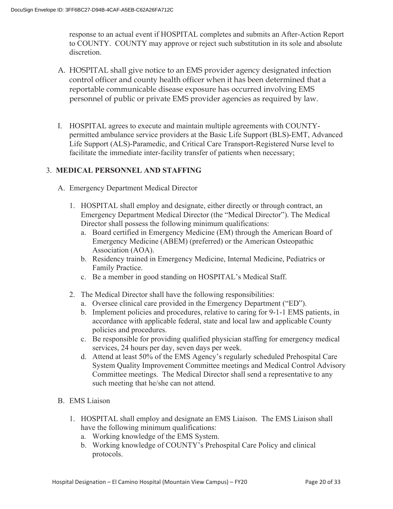response to an actual event if HOSPITAL completes and submits an After-Action Report to COUNTY. COUNTY may approve or reject such substitution in its sole and absolute discretion.

- A. HOSPITAL shall give notice to an EMS provider agency designated infection control officer and county health officer when it has been determined that a reportable communicable disease exposure has occurred involving EMS personnel of public or private EMS provider agencies as required by law.
- I. HOSPITAL agrees to execute and maintain multiple agreements with COUNTYpermitted ambulance service providers at the Basic Life Support (BLS)-EMT, Advanced Life Support (ALS)-Paramedic, and Critical Care Transport-Registered Nurse level to facilitate the immediate inter-facility transfer of patients when necessary;

## 3. **MEDICAL PERSONNEL AND STAFFING**

- A. Emergency Department Medical Director
	- 1. HOSPITAL shall employ and designate, either directly or through contract, an Emergency Department Medical Director (the "Medical Director"). The Medical Director shall possess the following minimum qualifications:
		- a. Board certified in Emergency Medicine (EM) through the American Board of Emergency Medicine (ABEM) (preferred) or the American Osteopathic Association (AOA).
		- b. Residency trained in Emergency Medicine, Internal Medicine, Pediatrics or Family Practice.
		- c. Be a member in good standing on HOSPITAL's Medical Staff.
	- 2. The Medical Director shall have the following responsibilities:
		- a. Oversee clinical care provided in the Emergency Department ("ED").
		- b. Implement policies and procedures, relative to caring for 9-1-1 EMS patients, in accordance with applicable federal, state and local law and applicable County policies and procedures.
		- c. Be responsible for providing qualified physician staffing for emergency medical services, 24 hours per day, seven days per week.
		- d. Attend at least 50% of the EMS Agency's regularly scheduled Prehospital Care System Quality Improvement Committee meetings and Medical Control Advisory Committee meetings. The Medical Director shall send a representative to any such meeting that he/she can not attend.
- B. EMS Liaison
	- 1. HOSPITAL shall employ and designate an EMS Liaison. The EMS Liaison shall have the following minimum qualifications:
		- a. Working knowledge of the EMS System.
		- b. Working knowledge of COUNTY's Prehospital Care Policy and clinical protocols.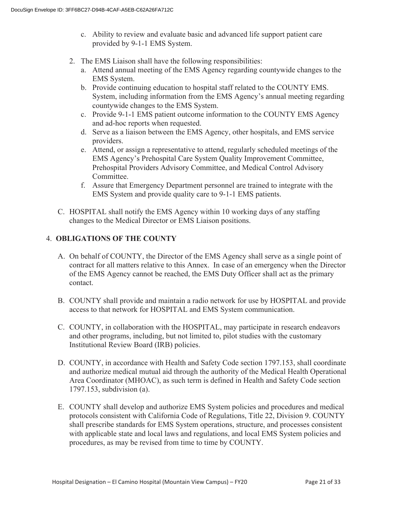- c. Ability to review and evaluate basic and advanced life support patient care provided by 9-1-1 EMS System.
- 2. The EMS Liaison shall have the following responsibilities:
	- a. Attend annual meeting of the EMS Agency regarding countywide changes to the EMS System.
	- b. Provide continuing education to hospital staff related to the COUNTY EMS. System, including information from the EMS Agency's annual meeting regarding countywide changes to the EMS System.
	- c. Provide 9-1-1 EMS patient outcome information to the COUNTY EMS Agency and ad-hoc reports when requested.
	- d. Serve as a liaison between the EMS Agency, other hospitals, and EMS service providers.
	- e. Attend, or assign a representative to attend, regularly scheduled meetings of the EMS Agency's Prehospital Care System Quality Improvement Committee, Prehospital Providers Advisory Committee, and Medical Control Advisory Committee.
	- f. Assure that Emergency Department personnel are trained to integrate with the EMS System and provide quality care to 9-1-1 EMS patients.
- C. HOSPITAL shall notify the EMS Agency within 10 working days of any staffing changes to the Medical Director or EMS Liaison positions.

## 4. **OBLIGATIONS OF THE COUNTY**

- A. On behalf of COUNTY, the Director of the EMS Agency shall serve as a single point of contract for all matters relative to this Annex. In case of an emergency when the Director of the EMS Agency cannot be reached, the EMS Duty Officer shall act as the primary contact.
- B. COUNTY shall provide and maintain a radio network for use by HOSPITAL and provide access to that network for HOSPITAL and EMS System communication.
- C. COUNTY, in collaboration with the HOSPITAL, may participate in research endeavors and other programs, including, but not limited to, pilot studies with the customary Institutional Review Board (IRB) policies.
- D. COUNTY, in accordance with Health and Safety Code section 1797.153, shall coordinate and authorize medical mutual aid through the authority of the Medical Health Operational Area Coordinator (MHOAC), as such term is defined in Health and Safety Code section 1797.153, subdivision (a).
- E. COUNTY shall develop and authorize EMS System policies and procedures and medical protocols consistent with California Code of Regulations, Title 22, Division 9. COUNTY shall prescribe standards for EMS System operations, structure, and processes consistent with applicable state and local laws and regulations, and local EMS System policies and procedures, as may be revised from time to time by COUNTY.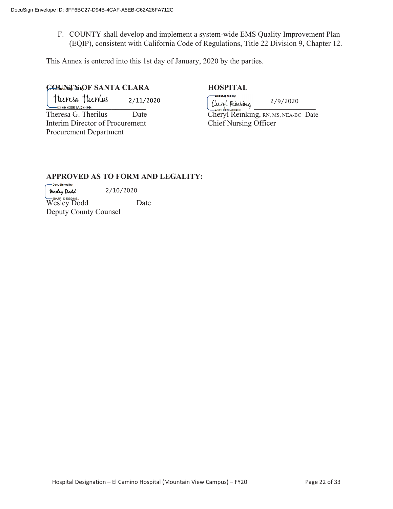F. COUNTY shall develop and implement a system-wide EMS Quality Improvement Plan (EQIP), consistent with California Code of Regulations, Title 22 Division 9, Chapter 12.

This Annex is entered into this 1st day of January, 2020 by the parties.

## **COUNTY OF SANTA CLARA HOSPITAL**

\_\_\_\_\_\_\_\_\_\_\_\_\_\_\_\_\_\_\_\_\_\_\_\_\_\_ \_\_\_\_\_\_\_\_\_\_\_\_\_\_\_\_\_\_\_\_\_\_\_\_\_\_\_\_ 2/11/2020

Interim Director of Procurement Chief Nursing Officer Procurement Department

-<br>DocuSigned by: 2/9/2020

Theresa G. Therilus Date Cheryl Reinking, RN, MS, NEA-BC Date

## **APPROVED AS TO FORM AND LEGALITY:**

-<br>DocuSianed by: 2/10/2020  $W$ esley Dodd  $Z/10/2020$ 

Wesley Dodd Date Deputy County Counsel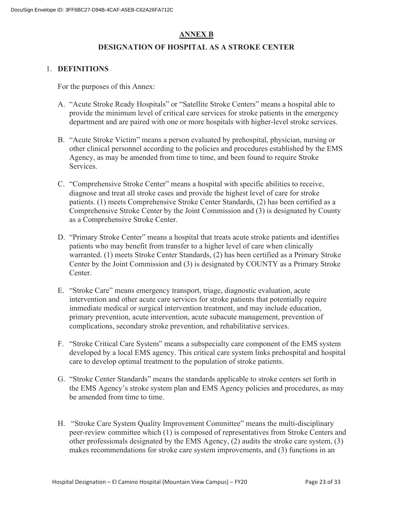## **ANNEX B**

#### **DESIGNATION OF HOSPITAL AS A STROKE CENTER**

#### 1. **DEFINITIONS**

For the purposes of this Annex:

- A. "Acute Stroke Ready Hospitals" or "Satellite Stroke Centers" means a hospital able to provide the minimum level of critical care services for stroke patients in the emergency department and are paired with one or more hospitals with higher-level stroke services.
- B. "Acute Stroke Victim" means a person evaluated by prehospital, physician, nursing or other clinical personnel according to the policies and procedures established by the EMS Agency, as may be amended from time to time, and been found to require Stroke Services.
- C. "Comprehensive Stroke Center" means a hospital with specific abilities to receive, diagnose and treat all stroke cases and provide the highest level of care for stroke patients. (1) meets Comprehensive Stroke Center Standards, (2) has been certified as a Comprehensive Stroke Center by the Joint Commission and (3) is designated by County as a Comprehensive Stroke Center.
- D. "Primary Stroke Center" means a hospital that treats acute stroke patients and identifies patients who may benefit from transfer to a higher level of care when clinically warranted. (1) meets Stroke Center Standards, (2) has been certified as a Primary Stroke Center by the Joint Commission and (3) is designated by COUNTY as a Primary Stroke Center.
- E. "Stroke Care" means emergency transport, triage, diagnostic evaluation, acute intervention and other acute care services for stroke patients that potentially require immediate medical or surgical intervention treatment, and may include education, primary prevention, acute intervention, acute subacute management, prevention of complications, secondary stroke prevention, and rehabilitative services.
- F. "Stroke Critical Care System" means a subspecialty care component of the EMS system developed by a local EMS agency. This critical care system links prehospital and hospital care to develop optimal treatment to the population of stroke patients.
- G. "Stroke Center Standards" means the standards applicable to stroke centers set forth in the EMS Agency's stroke system plan and EMS Agency policies and procedures, as may be amended from time to time.
- H. "Stroke Care System Quality Improvement Committee" means the multi-disciplinary peer-review committee which (1) is composed of representatives from Stroke Centers and other professionals designated by the EMS Agency, (2) audits the stroke care system, (3) makes recommendations for stroke care system improvements, and (3) functions in an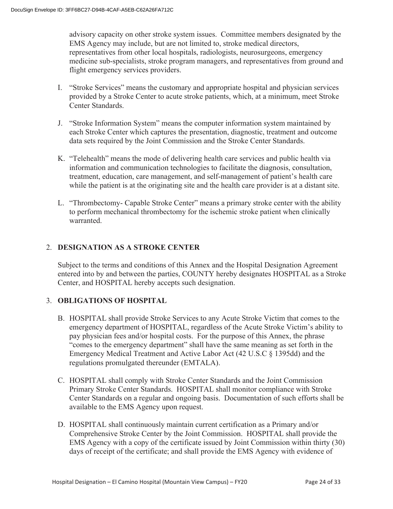advisory capacity on other stroke system issues. Committee members designated by the EMS Agency may include, but are not limited to, stroke medical directors, representatives from other local hospitals, radiologists, neurosurgeons, emergency medicine sub-specialists, stroke program managers, and representatives from ground and flight emergency services providers.

- I. "Stroke Services" means the customary and appropriate hospital and physician services provided by a Stroke Center to acute stroke patients, which, at a minimum, meet Stroke Center Standards.
- J. "Stroke Information System" means the computer information system maintained by each Stroke Center which captures the presentation, diagnostic, treatment and outcome data sets required by the Joint Commission and the Stroke Center Standards.
- K. "Telehealth" means the mode of delivering health care services and public health via information and communication technologies to facilitate the diagnosis, consultation, treatment, education, care management, and self-management of patient's health care while the patient is at the originating site and the health care provider is at a distant site.
- L. "Thrombectomy- Capable Stroke Center" means a primary stroke center with the ability to perform mechanical thrombectomy for the ischemic stroke patient when clinically warranted.

## 2. **DESIGNATION AS A STROKE CENTER**

Subject to the terms and conditions of this Annex and the Hospital Designation Agreement entered into by and between the parties, COUNTY hereby designates HOSPITAL as a Stroke Center, and HOSPITAL hereby accepts such designation.

## 3. **OBLIGATIONS OF HOSPITAL**

- B. HOSPITAL shall provide Stroke Services to any Acute Stroke Victim that comes to the emergency department of HOSPITAL, regardless of the Acute Stroke Victim's ability to pay physician fees and/or hospital costs. For the purpose of this Annex, the phrase "comes to the emergency department" shall have the same meaning as set forth in the Emergency Medical Treatment and Active Labor Act (42 U.S.C § 1395dd) and the regulations promulgated thereunder (EMTALA).
- C. HOSPITAL shall comply with Stroke Center Standards and the Joint Commission Primary Stroke Center Standards. HOSPITAL shall monitor compliance with Stroke Center Standards on a regular and ongoing basis. Documentation of such efforts shall be available to the EMS Agency upon request.
- D. HOSPITAL shall continuously maintain current certification as a Primary and/or Comprehensive Stroke Center by the Joint Commission. HOSPITAL shall provide the EMS Agency with a copy of the certificate issued by Joint Commission within thirty (30) days of receipt of the certificate; and shall provide the EMS Agency with evidence of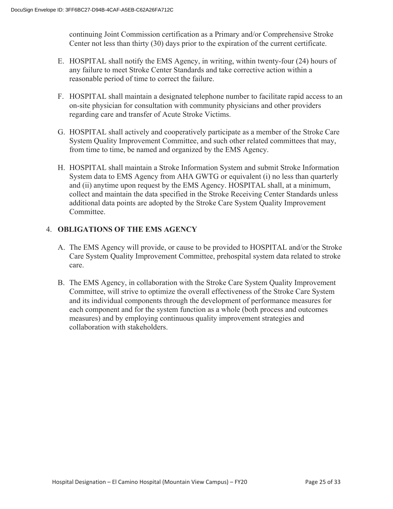continuing Joint Commission certification as a Primary and/or Comprehensive Stroke Center not less than thirty (30) days prior to the expiration of the current certificate.

- E. HOSPITAL shall notify the EMS Agency, in writing, within twenty-four (24) hours of any failure to meet Stroke Center Standards and take corrective action within a reasonable period of time to correct the failure.
- F. HOSPITAL shall maintain a designated telephone number to facilitate rapid access to an on-site physician for consultation with community physicians and other providers regarding care and transfer of Acute Stroke Victims.
- G. HOSPITAL shall actively and cooperatively participate as a member of the Stroke Care System Quality Improvement Committee, and such other related committees that may, from time to time, be named and organized by the EMS Agency.
- H. HOSPITAL shall maintain a Stroke Information System and submit Stroke Information System data to EMS Agency from AHA GWTG or equivalent (i) no less than quarterly and (ii) anytime upon request by the EMS Agency. HOSPITAL shall, at a minimum, collect and maintain the data specified in the Stroke Receiving Center Standards unless additional data points are adopted by the Stroke Care System Quality Improvement Committee.

## 4. **OBLIGATIONS OF THE EMS AGENCY**

- A. The EMS Agency will provide, or cause to be provided to HOSPITAL and/or the Stroke Care System Quality Improvement Committee, prehospital system data related to stroke care.
- B. The EMS Agency, in collaboration with the Stroke Care System Quality Improvement Committee, will strive to optimize the overall effectiveness of the Stroke Care System and its individual components through the development of performance measures for each component and for the system function as a whole (both process and outcomes measures) and by employing continuous quality improvement strategies and collaboration with stakeholders.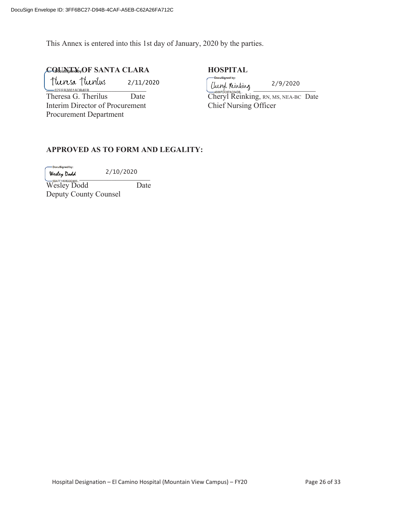This Annex is entered into this 1st day of January, 2020 by the parties.

# **COUNTY OF SANTA CLARA HOSPITAL**

 $\frac{1}{2}$  =  $\frac{1}{2}$  =  $\frac{1}{2}$  =  $\frac{1}{2}$  =  $\frac{1}{2}$  =  $\frac{1}{2}$  =  $\frac{1}{2}$  =  $\frac{1}{2}$  =  $\frac{1}{2}$  =  $\frac{1}{2}$  =  $\frac{1}{2}$  =  $\frac{1}{2}$  =  $\frac{1}{2}$  =  $\frac{1}{2}$  =  $\frac{1}{2}$  =  $\frac{1}{2}$  =  $\frac{1}{2}$  =  $\frac{1}{2}$  =  $\frac{1$ 2/11/2020

Interim Director of Procurement Chief Nursing Officer Procurement Department

DocuSigned by: 2/9/2020

Theresa G. Therilus Date Cheryl Reinking, RN, MS, NEA-BC Date

#### **APPROVED AS TO FORM AND LEGALITY:**

-DocuSigned by:

 $W$ esley Dodd  $L/L0/L020$ 2/10/2020

Wesley Dodd Date Deputy County Counsel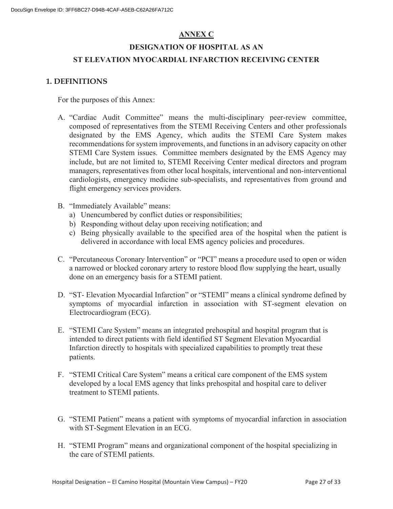## **ANNEX C**

# **DESIGNATION OF HOSPITAL AS AN ST ELEVATION MYOCARDIAL INFARCTION RECEIVING CENTER**

## **1. DEFINITIONS**

For the purposes of this Annex:

- A. "Cardiac Audit Committee" means the multi-disciplinary peer-review committee, composed of representatives from the STEMI Receiving Centers and other professionals designated by the EMS Agency, which audits the STEMI Care System makes recommendations for system improvements, and functions in an advisory capacity on other STEMI Care System issues. Committee members designated by the EMS Agency may include, but are not limited to, STEMI Receiving Center medical directors and program managers, representatives from other local hospitals, interventional and non-interventional cardiologists, emergency medicine sub-specialists, and representatives from ground and flight emergency services providers.
- B. "Immediately Available" means:
	- a) Unencumbered by conflict duties or responsibilities;
	- b) Responding without delay upon receiving notification; and
	- c) Being physically available to the specified area of the hospital when the patient is delivered in accordance with local EMS agency policies and procedures.
- C. "Percutaneous Coronary Intervention" or "PCI" means a procedure used to open or widen a narrowed or blocked coronary artery to restore blood flow supplying the heart, usually done on an emergency basis for a STEMI patient.
- D. "ST- Elevation Myocardial Infarction" or "STEMI" means a clinical syndrome defined by symptoms of myocardial infarction in association with ST-segment elevation on Electrocardiogram (ECG).
- E. "STEMI Care System" means an integrated prehospital and hospital program that is intended to direct patients with field identified ST Segment Elevation Myocardial Infarction directly to hospitals with specialized capabilities to promptly treat these patients.
- F. "STEMI Critical Care System" means a critical care component of the EMS system developed by a local EMS agency that links prehospital and hospital care to deliver treatment to STEMI patients.
- G. "STEMI Patient" means a patient with symptoms of myocardial infarction in association with ST-Segment Elevation in an ECG.
- H. "STEMI Program" means and organizational component of the hospital specializing in the care of STEMI patients.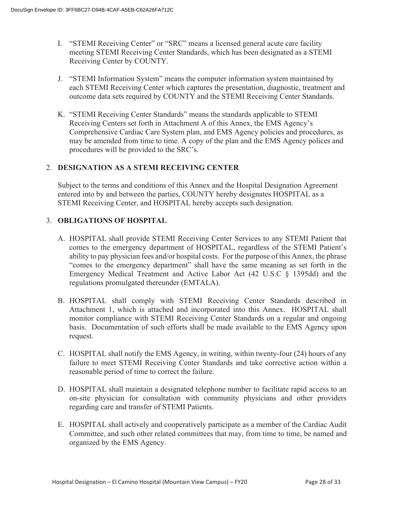- I. "STEMI Receiving Center" or "SRC" means a licensed general acute care facility meeting STEMI Receiving Center Standards, which has been designated as a STEMI Receiving Center by COUNTY.
- J. "STEMI Information System" means the computer information system maintained by each STEMI Receiving Center which captures the presentation, diagnostic, treatment and outcome data sets required by COUNTY and the STEMI Receiving Center Standards.
- K. "STEMI Receiving Center Standards" means the standards applicable to STEMI Receiving Centers set forth in Attachment A of this Annex, the EMS Agency's Comprehensive Cardiac Care System plan, and EMS Agency policies and procedures, as may be amended from time to time. A copy of the plan and the EMS Agency polices and procedures will be provided to the SRC's.

### 2. **DESIGNATION AS A STEMI RECEIVING CENTER**

Subject to the terms and conditions of this Annex and the Hospital Designation Agreement entered into by and between the parties, COUNTY hereby designates HOSPITAL as a STEMI Receiving Center, and HOSPITAL hereby accepts such designation.

### 3. **OBLIGATIONS OF HOSPITAL**

- A. HOSPITAL shall provide STEMI Receiving Center Services to any STEMI Patient that comes to the emergency department of HOSPITAL, regardless of the STEMI Patient's ability to pay physician fees and/or hospital costs. For the purpose of this Annex, the phrase "comes to the emergency department" shall have the same meaning as set forth in the Emergency Medical Treatment and Active Labor Act (42 U.S.C § 1395dd) and the regulations promulgated thereunder (EMTALA).
- B. HOSPITAL shall comply with STEMI Receiving Center Standards described in Attachment 1, which is attached and incorporated into this Annex. HOSPITAL shall monitor compliance with STEMI Receiving Center Standards on a regular and ongoing basis. Documentation of such efforts shall be made available to the EMS Agency upon request.
- C. HOSPITAL shall notify the EMS Agency, in writing, within twenty-four (24) hours of any failure to meet STEMI Receiving Center Standards and take corrective action within a reasonable period of time to correct the failure.
- D. HOSPITAL shall maintain a designated telephone number to facilitate rapid access to an on-site physician for consultation with community physicians and other providers regarding care and transfer of STEMI Patients.
- E. HOSPITAL shall actively and cooperatively participate as a member of the Cardiac Audit Committee, and such other related committees that may, from time to time, be named and organized by the EMS Agency.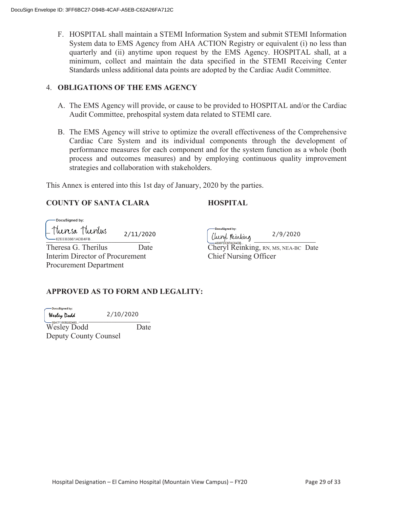F. HOSPITAL shall maintain a STEMI Information System and submit STEMI Information System data to EMS Agency from AHA ACTION Registry or equivalent (i) no less than quarterly and (ii) anytime upon request by the EMS Agency. HOSPITAL shall, at a minimum, collect and maintain the data specified in the STEMI Receiving Center Standards unless additional data points are adopted by the Cardiac Audit Committee.

#### 4. **OBLIGATIONS OF THE EMS AGENCY**

- A. The EMS Agency will provide, or cause to be provided to HOSPITAL and/or the Cardiac Audit Committee, prehospital system data related to STEMI care.
- B. The EMS Agency will strive to optimize the overall effectiveness of the Comprehensive Cardiac Care System and its individual components through the development of performance measures for each component and for the system function as a whole (both process and outcomes measures) and by employing continuous quality improvement strategies and collaboration with stakeholders.

This Annex is entered into this 1st day of January, 2020 by the parties.

## **COUNTY OF SANTA CLARA HOSPITAL**

-DocuSigned by:  $\mathbb{Z}^3$ 2/11/2020C/II/2020 (Uuryl Kunking 2/9/2020) Interim Director of Procurement Chief Nursing Officer

Procurement Department

-DocuSianed by:

2/9/2020

Theresa G. Therilus Date Date Cheryl Reinking, RN, MS, NEA-BC Date

## **APPROVED AS TO FORM AND LEGALITY:**

DocuSianed by:

Wesley Dodd<br>— OBAZE1608BBD185 2/10/2020

Wesley Dodd Date Deputy County Counsel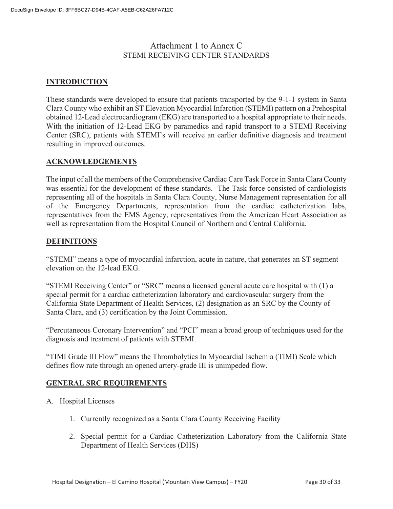## Attachment 1 to Annex C STEMI RECEIVING CENTER STANDARDS

## **INTRODUCTION**

These standards were developed to ensure that patients transported by the 9-1-1 system in Santa Clara County who exhibit an ST Elevation Myocardial Infarction (STEMI) pattern on a Prehospital obtained 12-Lead electrocardiogram (EKG) are transported to a hospital appropriate to their needs. With the initiation of 12-Lead EKG by paramedics and rapid transport to a STEMI Receiving Center (SRC), patients with STEMI's will receive an earlier definitive diagnosis and treatment resulting in improved outcomes.

### **ACKNOWLEDGEMENTS**

The input of all the members of the Comprehensive Cardiac Care Task Force in Santa Clara County was essential for the development of these standards. The Task force consisted of cardiologists representing all of the hospitals in Santa Clara County, Nurse Management representation for all of the Emergency Departments, representation from the cardiac catheterization labs, representatives from the EMS Agency, representatives from the American Heart Association as well as representation from the Hospital Council of Northern and Central California.

### **DEFINITIONS**

"STEMI" means a type of myocardial infarction, acute in nature, that generates an ST segment elevation on the 12-lead EKG.

"STEMI Receiving Center" or "SRC" means a licensed general acute care hospital with (1) a special permit for a cardiac catheterization laboratory and cardiovascular surgery from the California State Department of Health Services, (2) designation as an SRC by the County of Santa Clara, and (3) certification by the Joint Commission.

"Percutaneous Coronary Intervention" and "PCI" mean a broad group of techniques used for the diagnosis and treatment of patients with STEMI.

"TIMI Grade III Flow" means the Thrombolytics In Myocardial Ischemia (TIMI) Scale which defines flow rate through an opened artery-grade III is unimpeded flow.

## **GENERAL SRC REQUIREMENTS**

- A. Hospital Licenses
	- 1. Currently recognized as a Santa Clara County Receiving Facility
	- 2. Special permit for a Cardiac Catheterization Laboratory from the California State Department of Health Services (DHS)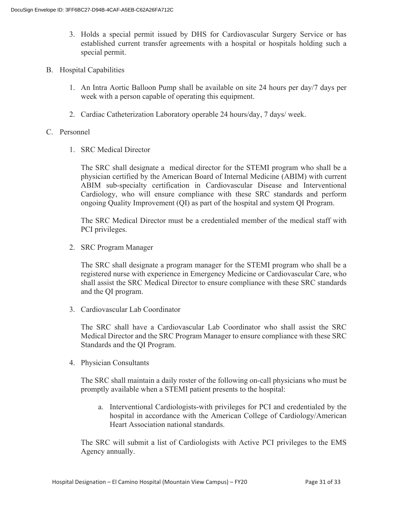- 3. Holds a special permit issued by DHS for Cardiovascular Surgery Service or has established current transfer agreements with a hospital or hospitals holding such a special permit.
- B. Hospital Capabilities
	- 1. An Intra Aortic Balloon Pump shall be available on site 24 hours per day/7 days per week with a person capable of operating this equipment.
	- 2. Cardiac Catheterization Laboratory operable 24 hours/day, 7 days/ week.
- C. Personnel
	- 1. SRC Medical Director

The SRC shall designate a medical director for the STEMI program who shall be a physician certified by the American Board of Internal Medicine (ABIM) with current ABIM sub-specialty certification in Cardiovascular Disease and Interventional Cardiology, who will ensure compliance with these SRC standards and perform ongoing Quality Improvement (QI) as part of the hospital and system QI Program.

The SRC Medical Director must be a credentialed member of the medical staff with PCI privileges.

2. SRC Program Manager

The SRC shall designate a program manager for the STEMI program who shall be a registered nurse with experience in Emergency Medicine or Cardiovascular Care, who shall assist the SRC Medical Director to ensure compliance with these SRC standards and the QI program.

3. Cardiovascular Lab Coordinator

The SRC shall have a Cardiovascular Lab Coordinator who shall assist the SRC Medical Director and the SRC Program Manager to ensure compliance with these SRC Standards and the QI Program.

4. Physician Consultants

The SRC shall maintain a daily roster of the following on-call physicians who must be promptly available when a STEMI patient presents to the hospital:

a. Interventional Cardiologists-with privileges for PCI and credentialed by the hospital in accordance with the American College of Cardiology/American Heart Association national standards.

The SRC will submit a list of Cardiologists with Active PCI privileges to the EMS Agency annually.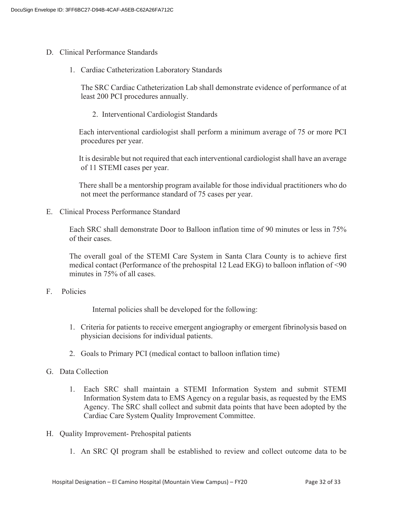- D. Clinical Performance Standards
	- 1. Cardiac Catheterization Laboratory Standards

The SRC Cardiac Catheterization Lab shall demonstrate evidence of performance of at least 200 PCI procedures annually.

2. Interventional Cardiologist Standards

 Each interventional cardiologist shall perform a minimum average of 75 or more PCI procedures per year.

 It is desirable but not required that each interventional cardiologist shall have an average of 11 STEMI cases per year.

 There shall be a mentorship program available for those individual practitioners who do not meet the performance standard of 75 cases per year.

E. Clinical Process Performance Standard

Each SRC shall demonstrate Door to Balloon inflation time of 90 minutes or less in 75% of their cases.

The overall goal of the STEMI Care System in Santa Clara County is to achieve first medical contact (Performance of the prehospital 12 Lead EKG) to balloon inflation of <90 minutes in 75% of all cases.

F. Policies

Internal policies shall be developed for the following:

- 1. Criteria for patients to receive emergent angiography or emergent fibrinolysis based on physician decisions for individual patients.
- 2. Goals to Primary PCI (medical contact to balloon inflation time)
- G. Data Collection
	- 1. Each SRC shall maintain a STEMI Information System and submit STEMI Information System data to EMS Agency on a regular basis, as requested by the EMS Agency. The SRC shall collect and submit data points that have been adopted by the Cardiac Care System Quality Improvement Committee.
- H. Quality Improvement- Prehospital patients
	- 1. An SRC QI program shall be established to review and collect outcome data to be